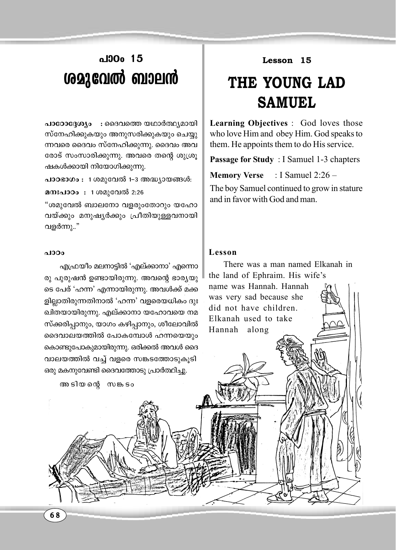## പാO<sub>0</sub> 15 ശമുവേൽ ബാലൻ

പാഠോദ്ദേശ്യം : ദൈവത്തെ യഥാർത്ഥ്യമായി സ്നേഹിക്കുകയും അനുസരിക്കുകയും ചെയ്യു ന്നവരെ ദൈവം സ്നേഹിക്കുന്നു. ദൈവം അവ രോട് സംസാരിക്കുന്നു. അവരെ തന്റെ ശുശ്രു ഷകൾക്കായി നിയോഗിക്കുന്നു.

പാഠഭാഗം : 1 ശമുവേൽ 1-3 അദ്ധ്യായങ്ങൾ:

മനഃപാഠം: 1 ശമുവേൽ 2:26

"ശമുവേൽ ബാലനോ വളരുംതോറും യഹോ വയ്ക്കും മനുഷ്യർക്കും പ്രീതിയുള്ളവനായി വളർന്നു.."

## പാഠം

എഫ്രയീം മലനാട്ടിൽ 'എല്ക്കാനാ' എന്നൊ രു പുരുഷൻ ഉണ്ടായിരുന്നു. അവന്റെ ഭാര്യയു ടെ പേര് 'ഹന്ന' എന്നായിരുന്നു. അവൾക്ക് മക്ക ളില്ലാതിരുന്നതിനാൽ 'ഹന്ന' വളരെയധികം ദുഃ ഖിതയായിരുന്നു. എല്ക്കാനാ യഹോവയെ നമ സ്ക്കരിപ്പാനും, യാഗം കഴിപ്പാനും, ശീലോവിൽ ദൈവാലയത്തിൽ പോകമ്പോൾ ഹന്നയെയും കൊണ്ടുപോകുമായിരുന്നു. ഒരിക്കൽ അവൾ ദൈ വാലയത്തിൽ വച്ച് വളരെ സങ്കടത്തോടുകുടി ഒരു മകനുവേണ്ടി ദൈവത്തോടു പ്രാർത്ഥിച്ചു.

അടിയത്റെ സങ്കടം

Lesson 15

## THE YOUNG LAD **SAMUEL**

**Learning Objectives** : God loves those who love Him and obey Him. God speaks to them. He appoints them to do His service.

Passage for Study: I Samuel 1-3 chapters

: I Samuel 2:26  $-$ **Memory Verse** 

The boy Samuel continued to grow in stature and in favor with God and man.

## Lesson

There was a man named Elkanah in the land of Ephraim. His wife's name was Hannah. Hannah was very sad because she did not have children. Elkanah used to take Hannah along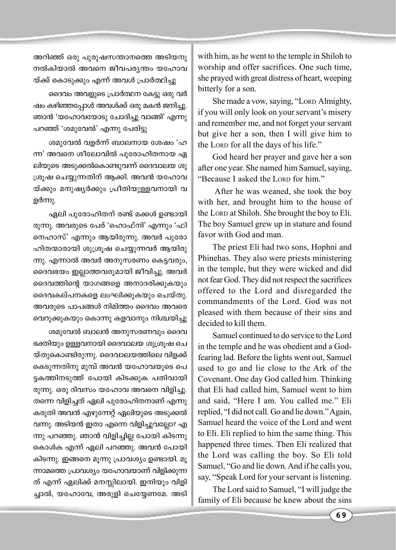അറിഞ്ഞ് ഒരു പുരുഷസന്താനത്തെ അടിയനു നൽകിയാൽ അവനെ ജീവപര്യന്തം യഹോവ യ്ക്ക് കൊടുക്കും എന്ന് അവൾ പ്രാർത്ഥിച്ചു

ദൈവം അവളുടെ പ്രാർത്ഥന കേട്ടു ഒരു വർ ഷം കഴിഞ്ഞപ്പോൾ അവൾക്ക് ഒരു മകൻ ജനിച്ചു. ഞാൻ 'യഹോവയോടു ചോദിച്ചു വാങ്ങി' എന്നു പറഞ്ഞ് 'ശമുവേൽ' എന്നു പേരിട്ടു

ശമുവേൽ വളർന്ന് ബാലനായ ശേഷം 'ഹ ന്ന' അവനെ ശീലോവിൽ പുരോഹിതനായ ഏ ലിയുടെ അടുക്കൽകൊണ്ടുവന്ന് ദൈവാലയ ശു ശ്രുഷ ചെയ്യുന്നതിന് ആക്കി. അവൻ യഹോവ യ്ക്കും മനുഷ്യർക്കും പ്രീതിയുള്ളവനായി വ ളർന്നു.

ഏലി പുരോഹിതന് രണ്ട് മക്കൾ ഉണ്ടായി രുന്നു. അവരുടെ പേര് 'ഹൊഫ്നി' എന്നും 'ഫി നെഹാസ്' എന്നും ആയിരുന്നു. അവർ പുരോ ഹിതന്മാരായി ശുശ്രൂഷ ചെയ്യുന്നവർ ആയിരു ന്നു. എന്നാൽ അവർ അനുസരണം കെട്ടവരും, ദൈവഭയം ഇല്ലാത്തവരുമായി ജീവിച്ചു. അവർ ദൈവത്തിന്റെ യാഗങ്ങളെ അനാദരിക്കുകയും ദൈവകല്പനകളെ ലംഘിക്കുകയും ചെയ്തു. അവരുടെ പാപങ്ങൾ നിമിത്തം ദൈവം അവരെ വെറുക്കുകയും കൊന്നു കളവാനും നിശ്ചയിച്ചു

ശമുവേൽ ബാലൻ അനുസരണവും ദൈവ ഭക്തിയും ഉള്ളവനായി ദൈവാലയ ശുശ്രൂഷ ചെ യ്തുകൊണ്ടിരുന്നു. ദൈവാലയത്തിലെ വിളക്ക് കെടുന്നതിനു മുമ്പ് അവൻ യഹോവയുടെ പെ ട്ടകത്തിനടുത്ത് പോയി കിടക്കുക പതിവായി രുന്നു. ഒരു ദിവസം യഹോവ അവനെ വിളിച്ചു. തന്നെ വിളിച്ചത് ഏലി പുരോഹിതനാണ് എന്നു കരുതി അവൻ എഴുന്നേറ്റ് ഏലിയുടെ അടുക്കൽ വന്നു. അടിയൻ ഇതാ എന്നെ വിളിച്ചുവല്ലോ? എ ന്നു പറഞ്ഞു. ഞാൻ വിളിച്ചില്ല പോയി കിടന്നു കൊൾക എന്ന് ഏലി പറഞ്ഞു. അവൻ പോയി കിടന്നു. ഇങ്ങനെ മൂന്നു പ്രാവശ്യം ഉണ്ടായി. മൂ ന്നാമത്തെ പ്രാവശ്യം യഹോവയാണ് വിളിക്കുന്ന ത് എന്ന് ഏലിക്ക് മനസ്സിലായി. ഇനിയും വിളി ച്ചാൽ, യഹോവേ, അരുളി ചെയ്യേണമേ. അടി with him, as he went to the temple in Shiloh to worship and offer sacrifices. One such time, she prayed with great distress of heart, weeping bitterly for a son.

She made a vow, saying, "Lorp Almighty, if you will only look on your servant's misery and remember me, and not forget your servant but give her a son, then I will give him to the LORD for all the days of his life."

God heard her prayer and gave her a son after one year. She named him Samuel, saying, "Because I asked the LORD for him."

After he was weaned, she took the boy with her, and brought him to the house of the LORD at Shiloh. She brought the boy to Eli. The boy Samuel grew up in stature and found favor with God and man.

The priest Eli had two sons, Hophni and Phinehas. They also were priests ministering in the temple, but they were wicked and did not fear God. They did not respect the sacrifices offered to the Lord and disregarded the commandments of the Lord. God was not pleased with them because of their sins and decided to kill them

Samuel continued to do service to the Lord in the temple and he was obedient and a Godfearing lad. Before the lights went out, Samuel used to go and lie close to the Ark of the Covenant. One day God called him. Thinking that Eli had called him. Samuel went to him and said, "Here I am. You called me." Eli replied, "I did not call. Go and lie down." Again, Samuel heard the voice of the Lord and went to Eli. Eli replied to him the same thing. This happened three times. Then Eli realized that the Lord was calling the boy. So Eli told Samuel, "Go and lie down. And if he calls you, say, "Speak Lord for your servant is listening.

The Lord said to Samuel, "I will judge the family of Eli because he knew about the sins